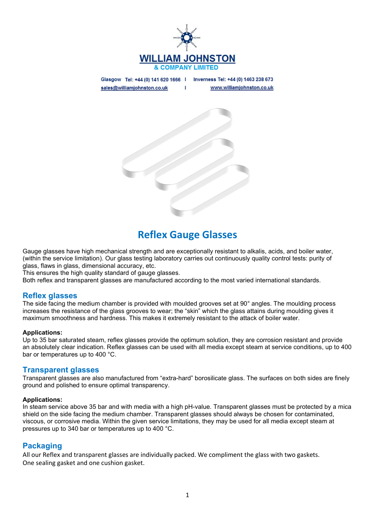

Glasgow Tel: +44 (0) 141 620 1666 | Inverness Tel: +44 (0) 1463 238 673 www.williamjohnston.co.uk sales@williamjohnston.co.uk T



# Reflex Gauge Glasses

Gauge glasses have high mechanical strength and are exceptionally resistant to alkalis, acids, and boiler water, (within the service limitation). Our glass testing laboratory carries out continuously quality control tests: purity of glass, flaws in glass, dimensional accuracy, etc.

This ensures the high quality standard of gauge glasses.

Both reflex and transparent glasses are manufactured according to the most varied international standards.

## **Reflex glasses**

The side facing the medium chamber is provided with moulded grooves set at 90° angles. The moulding process increases the resistance of the glass grooves to wear; the "skin" which the glass attains during moulding gives it maximum smoothness and hardness. This makes it extremely resistant to the attack of boiler water.

#### Applications:

Up to 35 bar saturated steam, reflex glasses provide the optimum solution, they are corrosion resistant and provide an absolutely clear indication. Reflex glasses can be used with all media except steam at service conditions, up to 400 bar or temperatures up to 400 °C.

### Transparent glasses

Transparent glasses are also manufactured from "extra-hard" borosilicate glass. The surfaces on both sides are finely ground and polished to ensure optimal transparency.

#### Applications:

In steam service above 35 bar and with media with a high pH-value. Transparent glasses must be protected by a mica shield on the side facing the medium chamber. Transparent glasses should always be chosen for contaminated, viscous, or corrosive media. Within the given service limitations, they may be used for all media except steam at pressures up to 340 bar or temperatures up to 400 °C.

## Packaging

All our Reflex and transparent glasses are individually packed. We compliment the glass with two gaskets. One sealing gasket and one cushion gasket.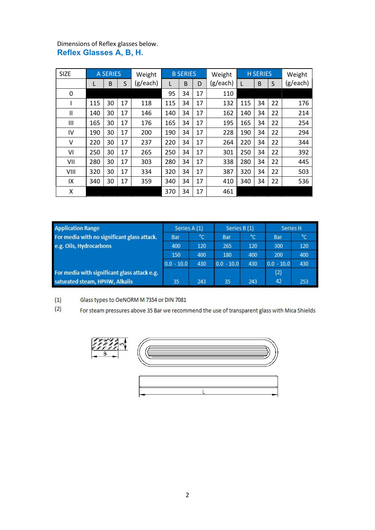## Dimensions of Reflex glasses below. Reflex Glasses A, B, H.

| <b>SIZE</b> | <b>A SERIES</b> |    | Weight | <b>B SERIES</b> |     |    | Weight | <b>H SERIES</b> |     |    | Weight |          |
|-------------|-----------------|----|--------|-----------------|-----|----|--------|-----------------|-----|----|--------|----------|
|             |                 | B  | S      | (g/each)        | L   | B  | D      | (g/each)        |     | B  | S      | (g/each) |
| 0           |                 |    |        |                 | 95  | 34 | 17     | 110             |     |    |        |          |
|             | 115             | 30 | 17     | 118             | 115 | 34 | 17     | 132             | 115 | 34 | 22     | 176      |
| Ш           | 140             | 30 | 17     | 146             | 140 | 34 | 17     | 162             | 140 | 34 | 22     | 214      |
| Ш           | 165             | 30 | 17     | 176             | 165 | 34 | 17     | 195             | 165 | 34 | 22     | 254      |
| IV          | 190             | 30 | 17     | 200             | 190 | 34 | 17     | 228             | 190 | 34 | 22     | 294      |
| ٧           | 220             | 30 | 17     | 237             | 220 | 34 | 17     | 264             | 220 | 34 | 22     | 344      |
| VI          | 250             | 30 | 17     | 265             | 250 | 34 | 17     | 301             | 250 | 34 | 22     | 392      |
| VII         | 280             | 30 | 17     | 303             | 280 | 34 | 17     | 338             | 280 | 34 | 22     | 445      |
| VIII        | 320             | 30 | 17     | 334             | 320 | 34 | 17     | 387             | 320 | 34 | 22     | 503      |
| IX          | 340             | 30 | 17     | 359             | 340 | 34 | 17     | 410             | 340 | 34 | 22     | 536      |
| Χ           |                 |    |        |                 | 370 | 34 | 17     | 461             |     |    |        |          |

| <b>Application Range</b>                     | Series A (1) |     | Series B (1) |     | Series H     |     |
|----------------------------------------------|--------------|-----|--------------|-----|--------------|-----|
| For media with no significant glass attack.  | Bar          | °C  | Bar          | °c  | Bar          | °C  |
| e.g. Oils, Hydrocarbons                      | 400          | 120 | 265          | 120 | 300          | 120 |
|                                              | 150          | 400 | 180          | 400 | 200          | 400 |
|                                              | $0.0 - 10.0$ | 430 | $0.0 - 10.0$ | 430 | $0.0 - 10.0$ | 430 |
| For media with significant glass attack e.g. |              |     |              |     | (2)          |     |
| saturated steam, HPHW, Alkalis               | 35           | 243 | 35           | 243 | 42           | 253 |

#### $(1)$ Glass types to OeNORM M 7354 or DIN 7081

 $(2)$ For steam pressures above 35 Bar we recommend the use of transparent glass with Mica Shields



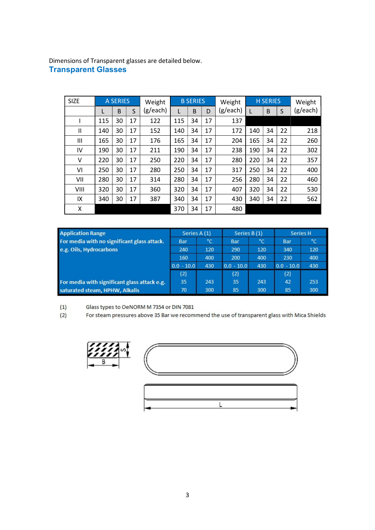Dimensions of Transparent glasses are detailed below. Transparent Glasses

| <b>SIZE</b> | <b>A SERIES</b> |    | Weight | <b>B SERIES</b> |     | Weight |    | <b>H SERIES</b> |     | Weight |    |          |
|-------------|-----------------|----|--------|-----------------|-----|--------|----|-----------------|-----|--------|----|----------|
|             | L               | B  | S      | (g/each)        | L   | B      | D  | (g/each)        | L   | B      | S  | (g/each) |
|             | 115             | 30 | 17     | 122             | 115 | 34     | 17 | 137             |     |        |    |          |
| Ш           | 140             | 30 | 17     | 152             | 140 | 34     | 17 | 172             | 140 | 34     | 22 | 218      |
| Ш           | 165             | 30 | 17     | 176             | 165 | 34     | 17 | 204             | 165 | 34     | 22 | 260      |
| IV          | 190             | 30 | 17     | 211             | 190 | 34     | 17 | 238             | 190 | 34     | 22 | 302      |
| V           | 220             | 30 | 17     | 250             | 220 | 34     | 17 | 280             | 220 | 34     | 22 | 357      |
| VI          | 250             | 30 | 17     | 280             | 250 | 34     | 17 | 317             | 250 | 34     | 22 | 400      |
| VII         | 280             | 30 | 17     | 314             | 280 | 34     | 17 | 256             | 280 | 34     | 22 | 460      |
| VIII        | 320             | 30 | 17     | 360             | 320 | 34     | 17 | 407             | 320 | 34     | 22 | 530      |
| IX          | 340             | 30 | 17     | 387             | 340 | 34     | 17 | 430             | 340 | 34     | 22 | 562      |
| Χ           |                 |    |        |                 | 370 | 34     | 17 | 480             |     |        |    |          |

| <b>Application Range</b>                     | Series A (1) |     | Series B (1) |     | Series H     |     |
|----------------------------------------------|--------------|-----|--------------|-----|--------------|-----|
| For media with no significant glass attack.  | Bar          | °C  | Bar          | °C  | Bar          | °C  |
| e.g. Oils, Hydrocarbons                      | 240          | 120 | 290          | 120 | 340          | 120 |
|                                              | 160          | 400 | 200          | 400 | 230          | 400 |
|                                              | $0.0 - 10.0$ | 430 | $0.0 - 10.0$ | 430 | $0.0 - 10.0$ | 430 |
|                                              | (2)          |     | (2)          |     | (2)          |     |
| For media with significant glass attack e.g. | 35           | 243 | 35           | 243 | 42           | 253 |
| saturated steam, HPHW, Alkalis               | 70           | 300 | 85           | 300 | 85           | 300 |

 $(1)$ Glass types to OeNORM M 7354 or DIN 7081

 $(2)$ For steam pressures above 35 Bar we recommend the use of transparent glass with Mica Shields





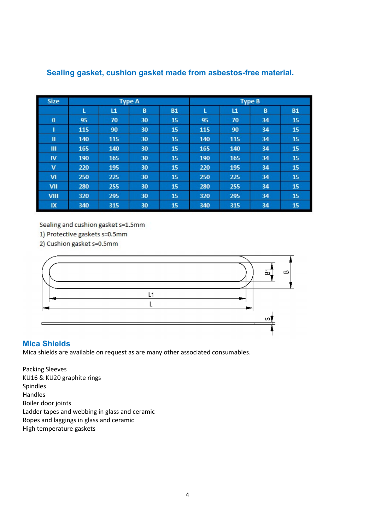| <b>Size</b> |     |              | <b>Type A</b> |           | <b>Type B</b> |              |    |           |  |  |
|-------------|-----|--------------|---------------|-----------|---------------|--------------|----|-----------|--|--|
|             | ι   | $\mathbf{L}$ | B             | <b>B1</b> | ι             | $\mathbf{L}$ | B  | <b>B1</b> |  |  |
| $\bf{0}$    | 95  | 70           | 30            | 15        | 95            | 70           | 34 | 15        |  |  |
| ı           | 115 | 90           | 30            | 15        | 115           | 90           | 34 | 15        |  |  |
| Ш           | 140 | 115          | 30            | 15        | 140           | 115          | 34 | 15        |  |  |
| Ш           | 165 | 140          | 30            | 15        | 165           | 140          | 34 | 15        |  |  |
| IV          | 190 | 165          | 30            | 15        | 190           | 165          | 34 | 15        |  |  |
| $\mathbf v$ | 220 | 195          | 30            | 15        | 220           | 195          | 34 | 15        |  |  |
| VI          | 250 | 225          | 30            | 15        | 250           | 225          | 34 | 15        |  |  |
| VII         | 280 | 255          | 30            | 15        | 280           | 255          | 34 | 15        |  |  |
| <b>VIII</b> | 320 | 295          | 30            | 15        | 320           | 295          | 34 | 15        |  |  |
| IX          | 340 | 315          | 30            | 15        | 340           | 315          | 34 | 15        |  |  |

## Sealing gasket, cushion gasket made from asbestos-free material.

Sealing and cushion gasket s=1.5mm

- 1) Protective gaskets s=0.5mm
- 2) Cushion gasket s=0.5mm



## Mica Shields

Mica shields are available on request as are many other associated consumables.

Packing Sleeves KU16 & KU20 graphite rings Spindles Handles Boiler door joints Ladder tapes and webbing in glass and ceramic Ropes and laggings in glass and ceramic High temperature gaskets